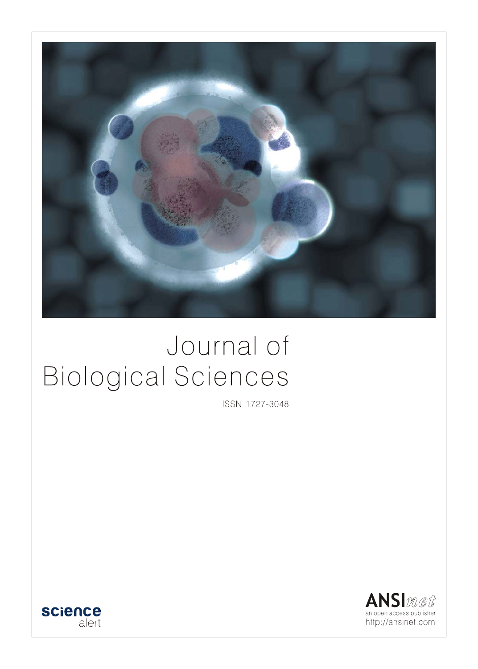

# Journal of **Biological Sciences**

ISSN 1727-3048



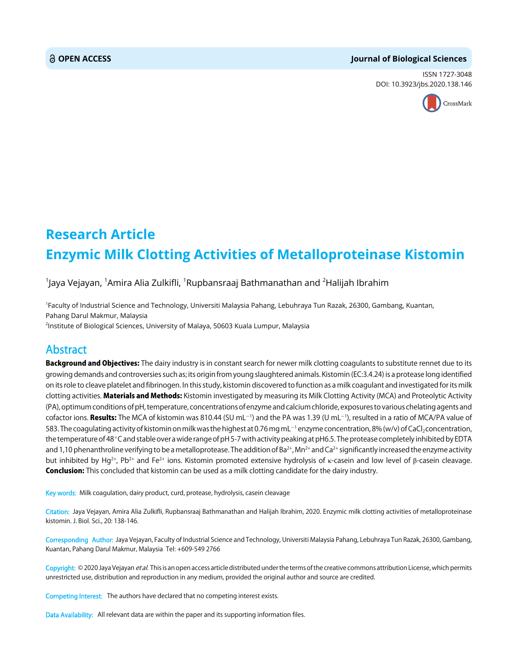#### **OPEN ACCESS Journal of Biological Sciences**

ISSN 1727-3048 DOI: 10.3923/jbs.2020.138.146



## **Research Article Enzymic Milk Clotting Activities of Metalloproteinase Kistomin**

#### $^{\text{\tiny{1}}}$ Jaya Vejayan,  $^{\text{\tiny{1}}}$ Amira Alia Zulkifli,  $^{\text{\tiny{1}}}$ Rupbansraaj Bathmanathan and  $^{\text{\tiny{2}}}$ Halijah Ibrahim

1 Faculty of Industrial Science and Technology, Universiti Malaysia Pahang, Lebuhraya Tun Razak, 26300, Gambang, Kuantan, Pahang Darul Makmur, Malaysia 2 Institute of Biological Sciences, University of Malaya, 50603 Kuala Lumpur, Malaysia

### Abstract

Background and Objectives: The dairy industry is in constant search for newer milk clotting coagulants to substitute rennet due to its growing demands and controversies such as; its origin from young slaughtered animals. Kistomin (EC:3.4.24) is a protease long identified on its role to cleave platelet and fibrinogen. In this study, kistomin discovered to function as a milk coagulant and investigated for its milk clotting activities. Materials and Methods: Kistomin investigated by measuring its Milk Clotting Activity (MCA) and Proteolytic Activity (PA), optimum conditions of pH, temperature, concentrations of enzyme and calcium chloride, exposures to various chelating agents and cofactor ions. **Results:** The MCA of kistomin was 810.44 (SU mL<sup>-1</sup>) and the PA was 1.39 (U mL<sup>-1</sup>), resulted in a ratio of MCA/PA value of 583. The coagulating activity of kistomin on milk was the highest at 0.76 mg mL $^{-1}$  enzyme concentration, 8% (w/v) of CaCl $_2$ concentration, the temperature of 48°C and stable over a wide range of pH 5-7 with activity peaking at pH6.5. The protease completely inhibited by EDTA and 1,10 phenanthroline verifying to be a metalloprotease. The addition of Ba<sup>2+</sup>, Mn<sup>2+</sup> and Ca<sup>2+</sup> significantly increased the enzyme activity but inhibited by Hg<sup>2+</sup>, Pb<sup>2+</sup> and Fe<sup>2+</sup> ions. Kistomin promoted extensive hydrolysis of κ-casein and low level of β-casein cleavage. **Conclusion:** This concluded that kistomin can be used as a milk clotting candidate for the dairy industry.

Key words: Milk coagulation, dairy product, curd, protease, hydrolysis, casein cleavage

Citation: Jaya Vejayan, Amira Alia Zulkifli, Rupbansraaj Bathmanathan and Halijah Ibrahim, 2020. Enzymic milk clotting activities of metalloproteinase kistomin. J. Biol. Sci., 20: 138-146.

Corresponding Author: Jaya Vejayan, Faculty of Industrial Science and Technology, Universiti Malaysia Pahang, Lebuhraya Tun Razak, 26300, Gambang, Kuantan, Pahang Darul Makmur, Malaysia Tel: +609-549 2766

Copyright: © 2020 Jaya Vejayan et al. This is an open access article distributed under the terms of the creative commons attribution License, which permits unrestricted use, distribution and reproduction in any medium, provided the original author and source are credited.

Competing Interest: The authors have declared that no competing interest exists.

Data Availability: All relevant data are within the paper and its supporting information files.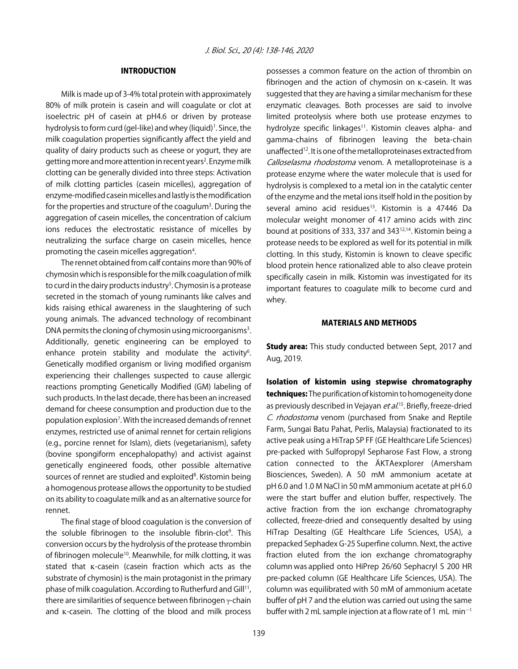#### INTRODUCTION

Milk is made up of 3-4% total protein with approximately 80% of milk protein is casein and will coagulate or clot at isoelectric pH of casein at pH4.6 or driven by protease hydrolysis to form curd (gel-like) and whey (liquid)<sup>1</sup>. Since, the milk coagulation properties significantly affect the yield and quality of dairy products such as cheese or yogurt, they are getting more and more attention in recent years<sup>2</sup>. Enzyme milk clotting can be generally divided into three steps: Activation of milk clotting particles (casein micelles), aggregation of enzyme-modified casein micelles and lastly is the modification for the properties and structure of the coagulum<sup>3</sup>. During the aggregation of casein micelles, the concentration of calcium ions reduces the electrostatic resistance of micelles by neutralizing the surface charge on casein micelles, hence promoting the casein micelles aggregation<sup>4</sup>.

The rennet obtained from calf contains more than 90% of chymosin which is responsible for the milk coagulation of milk to curd in the dairy products industry<sup>5</sup>. Chymosin is a protease secreted in the stomach of young ruminants like calves and kids raising ethical awareness in the slaughtering of such young animals. The advanced technology of recombinant DNA permits the cloning of chymosin using microorganisms<sup>3</sup>. Additionally, genetic engineering can be employed to enhance protein stability and modulate the activity<sup>6</sup>. Genetically modified organism or living modified organism experiencing their challenges suspected to cause allergic reactions prompting Genetically Modified (GM) labeling of such products. In the last decade, there has been an increased demand for cheese consumption and production due to the population explosion<sup>7</sup>. With the increased demands of rennet enzymes, restricted use of animal rennet for certain religions (e.g., porcine rennet for Islam), diets (vegetarianism), safety (bovine spongiform encephalopathy) and activist against genetically engineered foods, other possible alternative sources of rennet are studied and exploited<sup>8</sup>. Kistomin being a homogenous protease allows the opportunity to be studied on its ability to coagulate milk and as an alternative source for rennet.

The final stage of blood coagulation is the conversion of the soluble fibrinogen to the insoluble fibrin-clot<sup>9</sup>. This conversion occurs by the hydrolysis of the protease thrombin of fibrinogen molecule<sup>10</sup>. Meanwhile, for milk clotting, it was stated that K-casein (casein fraction which acts as the substrate of chymosin) is the main protagonist in the primary phase of milk coagulation. According to Rutherfurd and Gill<sup>11</sup>, there are similarities of sequence between fibrinogen γ-chain and K-casein. The clotting of the blood and milk process

possesses a common feature on the action of thrombin on fibrinogen and the action of chymosin on  $K$ -casein. It was suggested that they are having a similar mechanism for these enzymatic cleavages. Both processes are said to involve limited proteolysis where both use protease enzymes to hydrolyze specific linkages<sup>11</sup>. Kistomin cleaves alpha- and gamma-chains of fibrinogen leaving the beta-chain unaffected<sup>12</sup>. It is one of the metalloproteinases extracted from Calloselasma rhodostoma venom. A metalloproteinase is a protease enzyme where the water molecule that is used for hydrolysis is complexed to a metal ion in the catalytic center of the enzyme and the metal ions itself hold in the position by several amino acid residues<sup>13</sup>. Kistomin is a 47446 Da molecular weight monomer of 417 amino acids with zinc bound at positions of 333, 337 and 34312,14. Kistomin being a protease needs to be explored as well for its potential in milk clotting. In this study, Kistomin is known to cleave specific blood protein hence rationalized able to also cleave protein specifically casein in milk. Kistomin was investigated for its important features to coagulate milk to become curd and whey.

#### MATERIALS AND METHODS

**Study area:** This study conducted between Sept, 2017 and Aug, 2019.

Isolation of kistomin using stepwise chromatography techniques: The purification of kistomin to homogeneity done as previously described in Vejayan *et al*.<sup>15</sup>. Briefly, freeze-dried C. rhodostoma venom (purchased from Snake and Reptile Farm, Sungai Batu Pahat, Perlis, Malaysia) fractionated to its active peak using a HiTrap SP FF (GE Healthcare Life Sciences) pre-packed with Sulfopropyl Sepharose Fast Flow, a strong cation connected to the ÄKTAexplorer (Amersham Biosciences, Sweden). A 50 mM ammonium acetate at pH 6.0 and 1.0 M NaCl in 50 mM ammonium acetate at pH 6.0 were the start buffer and elution buffer, respectively. The active fraction from the ion exchange chromatography collected, freeze-dried and consequently desalted by using HiTrap Desalting (GE Healthcare Life Sciences, USA), a prepacked Sephadex G-25 Superfine column. Next, the active fraction eluted from the ion exchange chromatography column was applied onto HiPrep 26/60 Sephacryl S 200 HR pre-packed column (GE Healthcare Life Sciences, USA). The column was equilibrated with 50 mM of ammonium acetate buffer of pH 7 and the elution was carried out using the same buffer with 2 mL sample injection at a flow rate of 1 mL min<sup>-1</sup>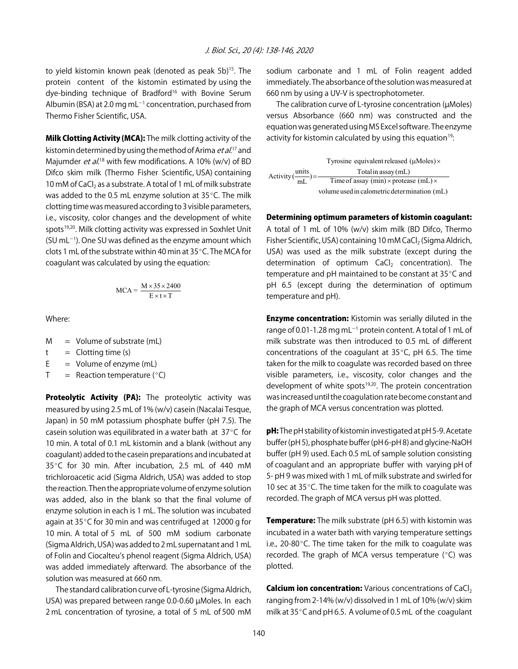to yield kistomin known peak (denoted as peak 5b)<sup>15</sup>. The protein content of the kistomin estimated by using the dye-binding technique of Bradford<sup>16</sup> with Bovine Serum Albumin (BSA) at 2.0 mg mL $^{-1}$  concentration, purchased from Thermo Fisher Scientific, USA.

Milk Clotting Activity (MCA): The milk clotting activity of the kistomin determined by using the method of Arima *et al*.<sup>17</sup> and Majumder *et al.*<sup>18</sup> with few modifications. A 10% (w/v) of BD Difco skim milk (Thermo Fisher Scientific, USA) containing 10 mM of CaCl<sub>2</sub> as a substrate. A total of 1 mL of milk substrate was added to the 0.5 mL enzyme solution at  $35^{\circ}$ C. The milk clotting time was measured according to 3 visible parameters, i.e., viscosity, color changes and the development of white spots<sup>19,20</sup>. Milk clotting activity was expressed in Soxhlet Unit  $(SU \, mL^{-1})$ . One SU was defined as the enzyme amount which clots 1 mL of the substrate within 40 min at  $35^{\circ}$ C. The MCA for coagulant was calculated by using the equation:

$$
MCA = \frac{M \times 35 \times 2400}{E \times t \times T}
$$

Where:

 $M = Volume of substrate (mL)$ 

 $t =$  Clotting time (s)

 $E =$  Volume of enzyme (mL)

 $T =$  Reaction temperature ( $°C$ )

Proteolytic Activity (PA): The proteolytic activity was measured by using 2.5 mL of 1% (w/v) casein (Nacalai Tesque, Japan) in 50 mM potassium phosphate buffer (pH 7.5). The casein solution was equilibrated in a water bath at  $37^{\circ}$ C for 10 min. A total of 0.1 mL kistomin and a blank (without any coagulant) added to the casein preparations and incubated at  $35^{\circ}$ C for 30 min. After incubation, 2.5 mL of 440 mM trichloroacetic acid (Sigma Aldrich, USA) was added to stop the reaction. Then the appropriate volume of enzyme solution was added, also in the blank so that the final volume of enzyme solution in each is 1 mL. The solution was incubated again at  $35^{\circ}$ C for 30 min and was centrifuged at 12000 g for 10 min. A total of 5 mL of 500 mM sodium carbonate (Sigma Aldrich, USA) was added to 2 mL supernatant and 1 mL of Folin and Ciocalteu's phenol reagent (Sigma Aldrich, USA) was added immediately afterward. The absorbance of the solution was measured at 660 nm.

The standard calibration curve of L-tyrosine (Sigma Aldrich, USA) was prepared between range 0.0-0.60 µMoles. In each 2 mL concentration of tyrosine, a total of 5 mL of 500 mM

sodium carbonate and 1 mL of Folin reagent added immediately. The absorbance of the solution was measured at 660 nm by using a UV-V is spectrophotometer.

The calibration curve of L-tyrosine concentration (µMoles) versus Absorbance (660 nm) was constructed and the equation was generated using MS Excel software. The enzyme activity for kistomin calculated by using this equation<sup>19</sup>:

Tyrosine equivalent released  $(\mu$ Moles) $\times$ Activity  $\frac{\text{units}}{\text{mL}}$  =  $\frac{\text{Total in assay (mL)}}{\text{Time of assay (min)} \times \text{process (mL)} \times$ volume used in calometric determination (mL)

Determining optimum parameters of kistomin coagulant:

A total of 1 mL of 10% (w/v) skim milk (BD Difco, Thermo Fisher Scientific, USA) containing 10 mM CaCl<sub>2</sub> (Sigma Aldrich, USA) was used as the milk substrate (except during the determination of optimum  $CaCl<sub>2</sub>$  concentration). The temperature and pH maintained to be constant at  $35^{\circ}$ C and pH 6.5 (except during the determination of optimum temperature and pH).

**Enzyme concentration:** Kistomin was serially diluted in the range of 0.01-1.28 mg mL $^{-1}$  protein content. A total of 1 mL of milk substrate was then introduced to 0.5 mL of different concentrations of the coagulant at  $35^{\circ}$ C, pH 6.5. The time taken for the milk to coagulate was recorded based on three visible parameters, i.e., viscosity, color changes and the development of white spots<sup>19,20</sup>. The protein concentration was increased until the coagulation rate become constant and the graph of MCA versus concentration was plotted.

pH: The pH stability of kistomin investigated at pH 5-9. Acetate buffer (pH 5), phosphate buffer (pH 6-pH 8) and glycine-NaOH buffer (pH 9) used. Each 0.5 mL of sample solution consisting of coagulant and an appropriate buffer with varying pH of 5- pH 9 was mixed with 1 mL of milk substrate and swirled for 10 sec at  $35^{\circ}$ C. The time taken for the milk to coagulate was recorded. The graph of MCA versus pH was plotted.

**Temperature:** The milk substrate (pH 6.5) with kistomin was incubated in a water bath with varying temperature settings i.e., 20-80 $^{\circ}$ C. The time taken for the milk to coagulate was recorded. The graph of MCA versus temperature  $(°C)$  was plotted.

**Calcium ion concentration:** Various concentrations of CaCl<sub>2</sub> ranging from 2-14% (w/v) dissolved in 1 mL of 10% (w/v) skim milk at  $35^{\circ}$ C and pH 6.5. A volume of 0.5 mL of the coagulant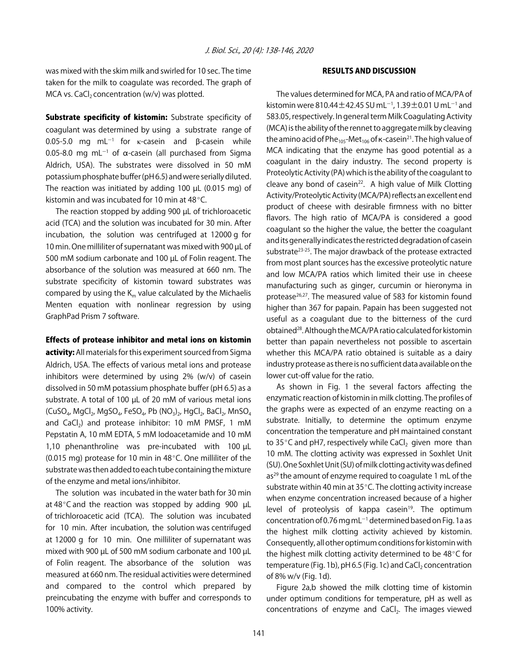was mixed with the skim milk and swirled for 10 sec. The time taken for the milk to coagulate was recorded. The graph of MCA vs. CaCl<sub>2</sub> concentration (w/v) was plotted.

Substrate specificity of kistomin: Substrate specificity of coagulant was determined by using a substrate range of 0.05-5.0 mg mL<sup>-1</sup> for <sub>κ</sub>-casein and β-casein while 0.05-8.0 mg mL<sup>-1</sup> of  $\alpha$ -casein (all purchased from Sigma Aldrich, USA). The substrates were dissolved in 50 mM potassium phosphate buffer (pH 6.5) and were serially diluted. The reaction was initiated by adding 100 µL (0.015 mg) of kistomin and was incubated for 10 min at 48 $\degree$ C.

The reaction stopped by adding 900 µL of trichloroacetic acid (TCA) and the solution was incubated for 30 min. After incubation, the solution was centrifuged at 12000 g for 10 min. One milliliter of supernatant was mixed with 900 µL of 500 mM sodium carbonate and 100 µL of Folin reagent. The absorbance of the solution was measured at 660 nm. The substrate specificity of kistomin toward substrates was compared by using the  $K_m$  value calculated by the Michaelis Menten equation with nonlinear regression by using GraphPad Prism 7 software.

#### Effects of protease inhibitor and metal ions on kistomin

activity: All materials for this experiment sourced from Sigma Aldrich, USA. The effects of various metal ions and protease inhibitors were determined by using 2% (w/v) of casein dissolved in 50 mM potassium phosphate buffer (pH 6.5) as a substrate. A total of 100 µL of 20 mM of various metal ions (CuSO<sub>4</sub>, MgCl<sub>2</sub>, MgSO<sub>4</sub>, FeSO<sub>4</sub>, Pb (NO<sub>3</sub>)<sub>2</sub>, HgCl<sub>2</sub>, BaCl<sub>2</sub>, MnSO<sub>4</sub> and CaCl<sub>2</sub>) and protease inhibitor: 10 mM PMSF, 1 mM Pepstatin A, 10 mM EDTA, 5 mM Iodoacetamide and 10 mM 1,10 phenanthroline was pre-incubated with 100 µL (0.015 mg) protease for 10 min in  $48^{\circ}$ C. One milliliter of the substrate was then added to each tube containing the mixture of the enzyme and metal ions/inhibitor.

The solution was incubated in the water bath for 30 min at  $48^{\circ}$ C and the reaction was stopped by adding 900 µL of trichloroacetic acid (TCA). The solution was incubated for 10 min. After incubation, the solution was centrifuged at 12000 g for 10 min. One milliliter of supernatant was mixed with 900 µL of 500 mM sodium carbonate and 100 µL of Folin reagent. The absorbance of the solution was measured at 660 nm. The residual activities were determined and compared to the control which prepared by preincubating the enzyme with buffer and corresponds to 100% activity.

#### RESULTS AND DISCUSSION

The values determined for MCA, PA and ratio of MCA/PA of kistomin were 810.44 $\pm$ 42.45 SU mL $^{-1}$ , 1.39 $\pm$ 0.01 U mL $^{-1}$  and 583.05, respectively. In general term Milk Coagulating Activity (MCA) is the ability of the rennet to aggregate milk by cleaving the amino acid of Phe<sub>105</sub>-Met<sub>106</sub> of  $\kappa$ -casein<sup>21</sup>. The high value of MCA indicating that the enzyme has good potential as a coagulant in the dairy industry. The second property is Proteolytic Activity (PA) which is the ability of the coagulant to cleave any bond of casein<sup>22</sup>. A high value of Milk Clotting Activity/Proteolytic Activity (MCA/PA) reflects an excellent end product of cheese with desirable firmness with no bitter flavors. The high ratio of MCA/PA is considered a good coagulant so the higher the value, the better the coagulant and its generally indicates the restricted degradation of casein substrate<sup>23-25</sup>. The major drawback of the protease extracted from most plant sources has the excessive proteolytic nature and low MCA/PA ratios which limited their use in cheese manufacturing such as ginger, curcumin or hieronyma in protease<sup>26,27</sup>. The measured value of 583 for kistomin found higher than 367 for papain. Papain has been suggested not useful as a coagulant due to the bitterness of the curd obtained28. Although the MCA/PA ratio calculated for kistomin better than papain nevertheless not possible to ascertain whether this MCA/PA ratio obtained is suitable as a dairy industry protease as there is no sufficient data available on the lower cut-off value for the ratio.

As shown in Fig. 1 the several factors affecting the enzymatic reaction of kistomin in milk clotting. The profiles of the graphs were as expected of an enzyme reacting on a substrate. Initially, to determine the optimum enzyme concentration the temperature and pH maintained constant to 35 $\degree$ C and pH7, respectively while CaCl<sub>2</sub> given more than 10 mM. The clotting activity was expressed in Soxhlet Unit (SU). One Soxhlet Unit (SU) of milk clotting activity was defined  $as<sup>29</sup>$  the amount of enzyme required to coagulate 1 mL of the substrate within 40 min at 35°C. The clotting activity increase when enzyme concentration increased because of a higher level of proteolysis of kappa casein $19$ . The optimum concentration of 0.76 mg mL $^{-1}$  determined based on Fig. 1a as the highest milk clotting activity achieved by kistomin. Consequently, all other optimum conditions for kistomin with the highest milk clotting activity determined to be  $48^{\circ}$ C for temperature (Fig. 1b),  $pH$  6.5 (Fig. 1c) and CaCl<sub>2</sub> concentration of 8% w/v (Fig. 1d).

Figure 2a,b showed the milk clotting time of kistomin under optimum conditions for temperature, pH as well as concentrations of enzyme and CaCl<sub>2</sub>. The images viewed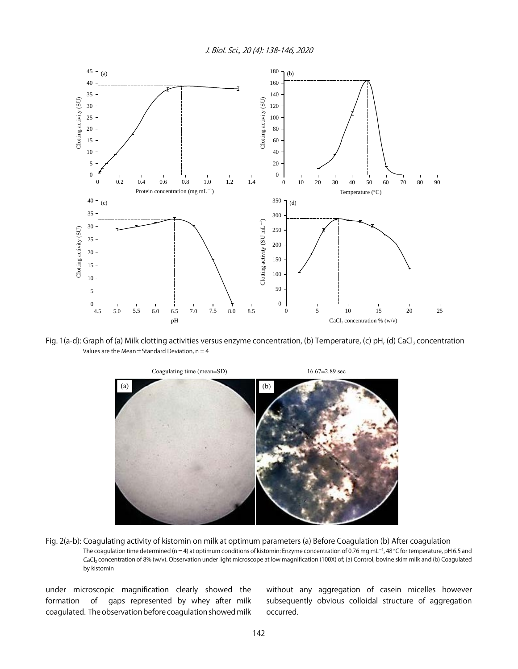J. Biol. Sci., 20 (4): 138-146, 2020



Fig. 1(a-d): Graph of (a) Milk clotting activities versus enzyme concentration, (b) Temperature, (c) pH, (d) CaCl<sub>2</sub> concentration Values are the Mean $\pm$ Standard Deviation, n = 4



Fig. 2(a-b): Coagulating activity of kistomin on milk at optimum parameters (a) Before Coagulation (b) After coagulation The coagulation time determined (n = 4) at optimum conditions of kistomin: Enzyme concentration of 0.76 mg mL<sup>-1</sup>, 48°C for temperature, pH 6.5 and CaCl2 concentration of 8% (w/v). Observation under light microscope at low magnification (100X) of; (a) Control, bovine skim milk and (b) Coagulated by kistomin

under microscopic magnification clearly showed the formation of gaps represented by whey after milk coagulated. The observation before coagulation showed milk without any aggregation of casein micelles however subsequently obvious colloidal structure of aggregation occurred.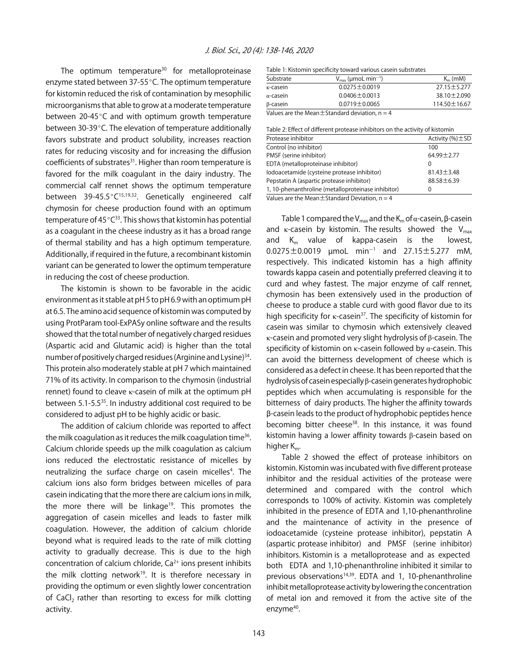The optimum temperature<sup>30</sup> for metalloproteinase enzyme stated between  $37-55$  °C. The optimum temperature for kistomin reduced the risk of contamination by mesophilic microorganisms that able to grow at a moderate temperature between  $20-45^{\circ}$ C and with optimum growth temperature between 30-39 $\degree$ C. The elevation of temperature additionally favors substrate and product solubility, increases reaction rates for reducing viscosity and for increasing the diffusion coefficients of substrates<sup>31</sup>. Higher than room temperature is favored for the milk coagulant in the dairy industry. The commercial calf rennet shows the optimum temperature between 39-45.5°C<sup>15,19,32</sup>. Genetically engineered calf chymosin for cheese production found with an optimum temperature of  $45^{\circ}C^{33}$ . This shows that kistomin has potential as a coagulant in the cheese industry as it has a broad range of thermal stability and has a high optimum temperature. Additionally, if required in the future, a recombinant kistomin variant can be generated to lower the optimum temperature in reducing the cost of cheese production.

The kistomin is shown to be favorable in the acidic environment as it stable at pH 5 to pH 6.9 with an optimum pH at 6.5. The amino acid sequence of kistomin was computed by using ProtParam tool-ExPASy online software and the results showed that the total number of negatively charged residues (Aspartic acid and Glutamic acid) is higher than the total number of positively charged residues (Arginine and Lysine)<sup>34</sup>. This protein also moderately stable at pH 7 which maintained 71% of its activity. In comparison to the chymosin (industrial rennet) found to cleave κ-casein of milk at the optimum pH between 5.1-5.5<sup>35</sup>. In industry additional cost required to be considered to adjust pH to be highly acidic or basic.

The addition of calcium chloride was reported to affect the milk coagulation as it reduces the milk coagulation time<sup>36</sup>. Calcium chloride speeds up the milk coagulation as calcium ions reduced the electrostatic resistance of micelles by neutralizing the surface charge on casein micelles<sup>4</sup>. The calcium ions also form bridges between micelles of para casein indicating that the more there are calcium ions in milk, the more there will be linkage<sup>19</sup>. This promotes the aggregation of casein micelles and leads to faster milk coagulation. However, the addition of calcium chloride beyond what is required leads to the rate of milk clotting activity to gradually decrease. This is due to the high concentration of calcium chloride,  $Ca<sup>2+</sup>$  ions present inhibits the milk clotting network<sup>19</sup>. It is therefore necessary in providing the optimum or even slightly lower concentration of CaCl<sub>2</sub> rather than resorting to excess for milk clotting activity.

|  |  |  | Table 1: Kistomin specificity toward various casein substrates |
|--|--|--|----------------------------------------------------------------|
|--|--|--|----------------------------------------------------------------|

| Substrate        | $V_{\text{max}}$ (µmoL min <sup>-1</sup> )                   | $K_m$ (mM)         |
|------------------|--------------------------------------------------------------|--------------------|
| κ-casein         | $0.0275 \pm 0.0019$                                          | $27.15 \pm 5.277$  |
| $\alpha$ -casein | $0.0406 \pm 0.0013$                                          | $38.10 \pm 2.090$  |
| β-casein         | $0.0719 \pm 0.0065$                                          | $114.50 \pm 16.67$ |
|                  | Material and also Material Cases deput descriptions of the A |                    |

Values are the Mean $\pm$ Standard deviation, n = 4

| Protease inhibitor                                 | Activity $(\%)\pm SD$ |
|----------------------------------------------------|-----------------------|
| Control (no inhibitor)                             | 100                   |
| PMSF (serine inhibitor)                            | $64.99 \pm 2.77$      |
| EDTA (metalloproteinase inhibitor)                 | $\Omega$              |
| lodoacetamide (cysteine protease inhibitor)        | $81.43 \pm 3.48$      |
| Pepstatin A (aspartic protease inhibitor)          | $88.58 \pm 6.39$      |
| 1, 10-phenanthroline (metalloproteinase inhibitor) |                       |

Values are the Mean $\pm$ Standard Deviation, n = 4

Table 1 compared the  $V_{max}$  and the  $K_m$  of  $\alpha$ -casein,  $\beta$ -casein and  $\kappa$ -casein by kistomin. The results showed the  $V_{\text{max}}$ and  $K_m$  value of kappa-casein is the lowest,  $0.0275\pm0.0019$   $\mu$ moL min $^{-1}$  and  $27.15\pm5.277$  mM, respectively. This indicated kistomin has a high affinity towards kappa casein and potentially preferred cleaving it to curd and whey fastest. The major enzyme of calf rennet, chymosin has been extensively used in the production of cheese to produce a stable curd with good flavor due to its high specificity for  $\kappa$ -casein<sup>37</sup>. The specificity of kistomin for casein was similar to chymosin which extensively cleaved κ-casein and promoted very slight hydrolysis of β-casein. The specificity of kistomin on  $\kappa$ -casein followed by  $\alpha$ -casein. This can avoid the bitterness development of cheese which is considered as a defect in cheese. It has been reported that the hydrolysis of casein especially β-casein generates hydrophobic peptides which when accumulating is responsible for the bitterness of dairy products. The higher the affinity towards \$-casein leads to the product of hydrophobic peptides hence becoming bitter cheese<sup>38</sup>. In this instance, it was found kistomin having a lower affinity towards β-casein based on higher  $K_m$ .

Table 2 showed the effect of protease inhibitors on kistomin. Kistomin was incubated with five different protease inhibitor and the residual activities of the protease were determined and compared with the control which corresponds to 100% of activity. Kistomin was completely inhibited in the presence of EDTA and 1,10-phenanthroline and the maintenance of activity in the presence of iodoacetamide (cysteine protease inhibitor), pepstatin A (aspartic protease inhibitor) and PMSF (serine inhibitor) inhibitors. Kistomin is a metalloprotease and as expected both EDTA and 1,10-phenanthroline inhibited it similar to previous observations<sup>14,39</sup>. EDTA and 1, 10-phenanthroline inhibit metalloprotease activity by lowering the concentration of metal ion and removed it from the active site of the enzyme<sup>40</sup>.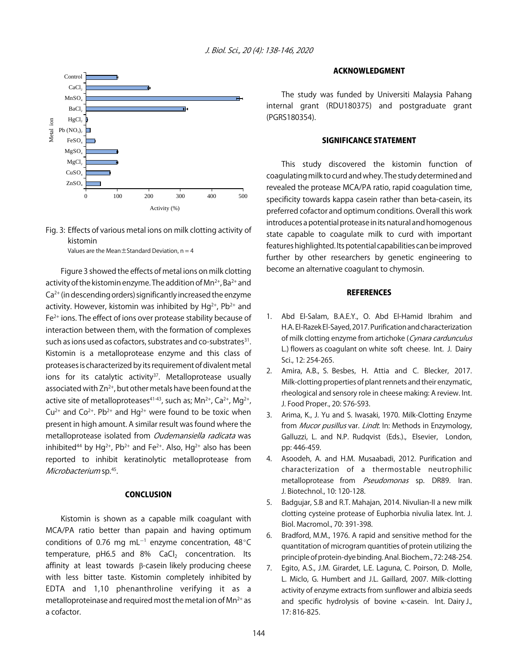



Values are the Mean $\pm$ Standard Deviation,  $n = 4$ 

Figure 3 showed the effects of metal ions on milk clotting activity of the kistomin enzyme. The addition of  $Mn^{2+}$ , Ba<sup>2+</sup> and  $Ca<sup>2+</sup>$  (in descending orders) significantly increased the enzyme activity. However, kistomin was inhibited by  $Hg^{2+}$ , Pb<sup>2+</sup> and Fe2+ ions. The effect of ions over protease stability because of interaction between them, with the formation of complexes such as ions used as cofactors, substrates and co-substrates<sup>31</sup>. Kistomin is a metalloprotease enzyme and this class of proteases is characterized by its requirement of divalent metal ions for its catalytic activity $37$ . Metalloprotease usually associated with  $Zn^{2+}$ , but other metals have been found at the active site of metalloproteases<sup>41-43</sup>, such as;  $Mn^{2+}$ , Ca<sup>2+</sup>, Mg<sup>2+</sup>,  $Cu^{2+}$  and  $Co^{2+}$ . Pb<sup>2+</sup> and Hg<sup>2+</sup> were found to be toxic when present in high amount. A similar result was found where the metalloprotease isolated from Oudemansiella radicata was inhibited<sup>44</sup> by Hg<sup>2+</sup>, Pb<sup>2+</sup> and Fe<sup>2+</sup>. Also, Hg<sup>2+</sup> also has been reported to inhibit keratinolytic metalloprotease from Microbacterium sp.<sup>45</sup>.

#### **CONCLUSION**

Kistomin is shown as a capable milk coagulant with MCA/PA ratio better than papain and having optimum conditions of 0.76 mg mL $^{-1}$  enzyme concentration, 48 $^{\circ}$ C temperature,  $pH6.5$  and  $8\%$  CaCl<sub>2</sub> concentration. Its affinity at least towards β-casein likely producing cheese with less bitter taste. Kistomin completely inhibited by EDTA and 1,10 phenanthroline verifying it as a metalloproteinase and required most the metal ion of  $Mn^{2+}$  as a cofactor.

#### ACKNOWLEDGMENT

The study was funded by Universiti Malaysia Pahang internal grant (RDU180375) and postgraduate grant (PGRS180354).

#### SIGNIFICANCE STATEMENT

This study discovered the kistomin function of coagulating milk to curd and whey. The study determined and revealed the protease MCA/PA ratio, rapid coagulation time, specificity towards kappa casein rather than beta-casein, its preferred cofactor and optimum conditions. Overall this work introduces a potential protease in its natural and homogenous state capable to coagulate milk to curd with important features highlighted. Its potential capabilities can be improved further by other researchers by genetic engineering to become an alternative coagulant to chymosin.

#### **REFERENCES**

- 1. Abd El-Salam, B.A.E.Y., O. Abd El-Hamid Ibrahim and H.A. El-Razek El-Sayed, 2017. Purification and characterization of milk clotting enzyme from artichoke (Cynara cardunculus L.) flowers as coagulant on white soft cheese. Int. J. Dairy Sci., 12: 254-265.
- 2. Amira, A.B., S. Besbes, H. Attia and C. Blecker, 2017. Milk-clotting properties of plant rennets and their enzymatic, rheological and sensory role in cheese making: A review. Int. J. Food Proper., 20: S76-S93.
- 3. Arima, K., J. Yu and S. Iwasaki, 1970. Milk-Clotting Enzyme from *Mucor pusillus* var. Lindt. In: Methods in Enzymology, Galluzzi, L. and N.P. Rudqvist (Eds.)., Elsevier, London, pp: 446-459.
- 4. Asoodeh, A. and H.M. Musaabadi, 2012. Purification and characterization of a thermostable neutrophilic metalloprotease from *Pseudomonas* sp. DR89. Iran. J. Biotechnol., 10: 120-128.
- 5. Badgujar, S.B and R.T. Mahajan, 2014. Nivulian-II a new milk clotting cysteine protease of Euphorbia nivulia latex. Int. J. Biol. Macromol., 70: 391-398.
- 6. Bradford, M.M., 1976. A rapid and sensitive method for the quantitation of microgram quantities of protein utilizing the principle of protein-dye binding. Anal. Biochem., 72: 248-254.
- 7. Egito, A.S., J.M. Girardet, L.E. Laguna, C. Poirson, D. Molle, L. Miclo, G. Humbert and J.L. Gaillard, 2007. Milk-clotting activity of enzyme extracts from sunflower and albizia seeds and specific hydrolysis of bovine κ-casein. Int. Dairy J., 17: 816-825.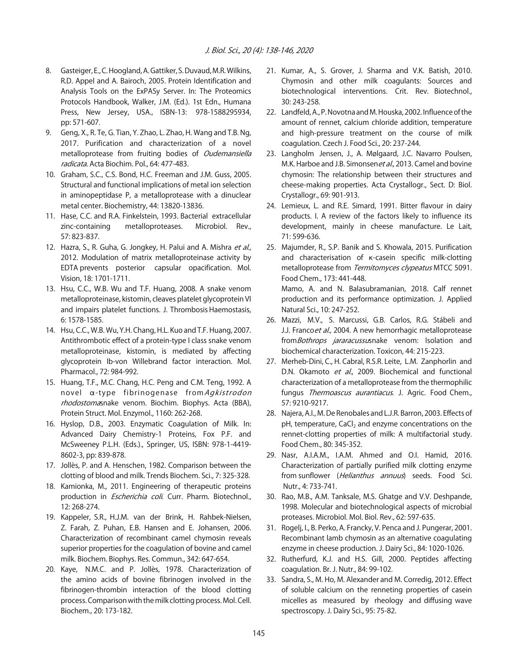- 8. Gasteiger, E., C. Hoogland, A. Gattiker, S. Duvaud, M.R. Wilkins, R.D. Appel and A. Bairoch, 2005. Protein Identification and Analysis Tools on the ExPASy Server. In: The Proteomics Protocols Handbook, Walker, J.M. (Ed.). 1st Edn., Humana Press, New Jersey, USA., ISBN-13: 978-1588295934, pp: 571-607.
- 9. Geng, X., R. Te, G. Tian, Y. Zhao, L. Zhao, H. Wang and T.B. Ng, 2017. Purification and characterization of a novel metalloprotease from fruiting bodies of Oudemansiella radicata. Acta Biochim. Pol., 64: 477-483.
- 10. Graham, S.C., C.S. Bond, H.C. Freeman and J.M. Guss, 2005. Structural and functional implications of metal ion selection in aminopeptidase P, a metalloprotease with a dinuclear metal center. Biochemistry, 44: 13820-13836.
- 11. Hase, C.C. and R.A. Finkelstein, 1993. Bacterial extracellular zinc-containing metalloproteases. Microbiol. Rev., 57: 823-837.
- 12. Hazra, S., R. Guha, G. Jongkey, H. Palui and A. Mishra et al., 2012. Modulation of matrix metalloproteinase activity by EDTA prevents posterior capsular opacification. Mol. Vision, 18: 1701-1711.
- 13. Hsu, C.C., W.B. Wu and T.F. Huang, 2008. A snake venom metalloproteinase, kistomin, cleaves platelet glycoprotein VI and impairs platelet functions. J. Thrombosis Haemostasis, 6: 1578-1585.
- 14. Hsu, C.C., W.B. Wu, Y.H. Chang, H.L. Kuo and T.F. Huang, 2007. Antithrombotic effect of a protein-type I class snake venom metalloproteinase, kistomin, is mediated by affecting glycoprotein Ib-von Willebrand factor interaction. Mol. Pharmacol., 72: 984-992.
- 15. Huang, T.F., M.C. Chang, H.C. Peng and C.M. Teng, 1992. A novel a-type fibrinogenase from Agkistrodon rhodostomasnake venom. Biochim. Biophys. Acta (BBA), Protein Struct. Mol. Enzymol., 1160: 262-268.
- 16. Hyslop, D.B., 2003. Enzymatic Coagulation of Milk. In: Advanced Dairy Chemistry-1 Proteins, Fox P.F. and McSweeney P.L.H. (Eds.)., Springer, US, ISBN: 978-1-4419- 8602-3, pp: 839-878.
- 17. Jollès, P. and A. Henschen, 1982. Comparison between the clotting of blood and milk. Trends Biochem. Sci., 7: 325-328.
- 18. Kamionka, M., 2011. Engineering of therapeutic proteins production in *Escherichia coli*. Curr. Pharm. Biotechnol., 12: 268-274.
- 19. Kappeler, S.R., H.J.M. van der Brink, H. Rahbek-Nielsen, Z. Farah, Z. Puhan, E.B. Hansen and E. Johansen, 2006. Characterization of recombinant camel chymosin reveals superior properties for the coagulation of bovine and camel milk. Biochem. Biophys. Res. Commun., 342: 647-654.
- 20. Kaye, N.M.C. and P. Jollès, 1978. Characterization of the amino acids of bovine fibrinogen involved in the fibrinogen-thrombin interaction of the blood clotting process. Comparison with the milk clotting process. Mol. Cell. Biochem., 20: 173-182.
- 21. Kumar, A., S. Grover, J. Sharma and V.K. Batish, 2010. Chymosin and other milk coagulants: Sources and biotechnological interventions. Crit. Rev. Biotechnol., 30: 243-258.
- 22. Landfeld, A., P. Novotna and M. Houska, 2002. Influence of the amount of rennet, calcium chloride addition, temperature and high-pressure treatment on the course of milk coagulation. Czech J. Food Sci., 20: 237-244.
- 23. Langholm Jensen, J., A. Mølgaard, J.C. Navarro Poulsen, M.K. Harboe and J.B. Simonsenet al., 2013. Camel and bovine chymosin: The relationship between their structures and cheese-making properties. Acta Crystallogr., Sect. D: Biol. Crystallogr., 69: 901-913.
- 24. Lemieux, L. and R.E. Simard, 1991. Bitter flavour in dairy products. I. A review of the factors likely to influence its development, mainly in cheese manufacture. Le Lait, 71: 599-636.
- 25. Majumder, R., S.P. Banik and S. Khowala, 2015. Purification and characterisation of K-casein specific milk-clotting metalloprotease from Termitomyces clypeatus MTCC 5091. Food Chem., 173: 441-448. Mamo, A. and N. Balasubramanian, 2018. Calf rennet production and its performance optimization. J. Applied Natural Sci., 10: 247-252.
- 26. Mazzi, M.V., S. Marcussi, G.B. Carlos, R.G. Stábeli and J.J. Franco et al., 2004. A new hemorrhagic metalloprotease from Bothrops jararacussusnake venom: Isolation and biochemical characterization. Toxicon, 44: 215-223.
- 27. Merheb-Dini, C., H. Cabral, R.S.R. Leite, L.M. Zanphorlin and D.N. Okamoto et al., 2009. Biochemical and functional characterization of a metalloprotease from the thermophilic fungus Thermoascus aurantiacus. J. Agric. Food Chem., 57: 9210-9217.
- 28. Najera, A.I., M. De Renobales and L.J.R. Barron, 2003. Effects of  $pH$ , temperature, CaCl<sub>2</sub> and enzyme concentrations on the rennet-clotting properties of milk: A multifactorial study. Food Chem., 80: 345-352.
- 29. Nasr, A.I.A.M., I.A.M. Ahmed and O.I. Hamid, 2016. Characterization of partially purified milk clotting enzyme from sunflower (Helianthus annuus) seeds. Food Sci. Nutr., 4: 733-741.
- 30. Rao, M.B., A.M. Tanksale, M.S. Ghatge and V.V. Deshpande, 1998. Molecular and biotechnological aspects of microbial proteases. Microbiol. Mol. Biol. Rev., 62: 597-635.
- 31. Rogelj, I., B. Perko, A. Francky, V. Penca and J. Pungerar, 2001. Recombinant lamb chymosin as an alternative coagulating enzyme in cheese production. J. Dairy Sci., 84: 1020-1026.
- 32. Rutherfurd, K.J. and H.S. Gill, 2000. Peptides affecting coagulation. Br. J. Nutr., 84: 99-102.
- 33. Sandra, S., M. Ho, M. Alexander and M. Corredig, 2012. Effect of soluble calcium on the renneting properties of casein micelles as measured by rheology and diffusing wave spectroscopy. J. Dairy Sci., 95: 75-82.